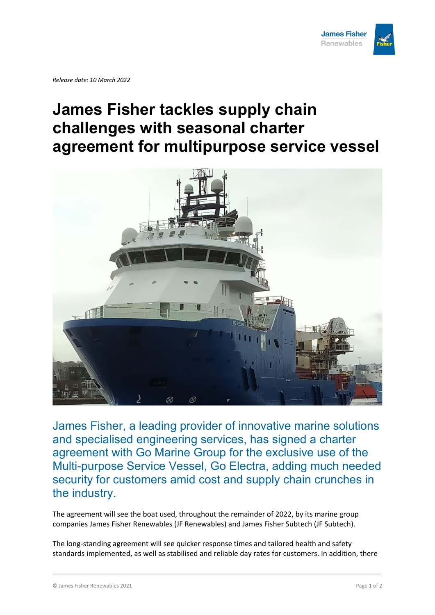

*Release date: 10 March 2022*

## **James Fisher tackles supply chain challenges with seasonal charter agreement for multipurpose service vessel**



James Fisher, a leading provider of innovative marine solutions and specialised engineering services, has signed a charter agreement with Go Marine Group for the exclusive use of the Multi-purpose Service Vessel, Go Electra, adding much needed security for customers amid cost and supply chain crunches in the industry.

The agreement will see the boat used, throughout the remainder of 2022, by its marine group companies James Fisher Renewables (JF Renewables) and James Fisher Subtech (JF Subtech).

The long-standing agreement will see quicker response times and tailored health and safety standards implemented, as well as stabilised and reliable day rates for customers. In addition, there

\_\_\_\_\_\_\_\_\_\_\_\_\_\_\_\_\_\_\_\_\_\_\_\_\_\_\_\_\_\_\_\_\_\_\_\_\_\_\_\_\_\_\_\_\_\_\_\_\_\_\_\_\_\_\_\_\_\_\_\_\_\_\_\_\_\_\_\_\_\_\_\_\_\_\_\_\_\_\_\_\_\_\_\_\_\_\_\_\_\_\_\_\_\_\_\_\_\_\_\_\_\_\_\_\_\_\_\_\_\_\_\_\_